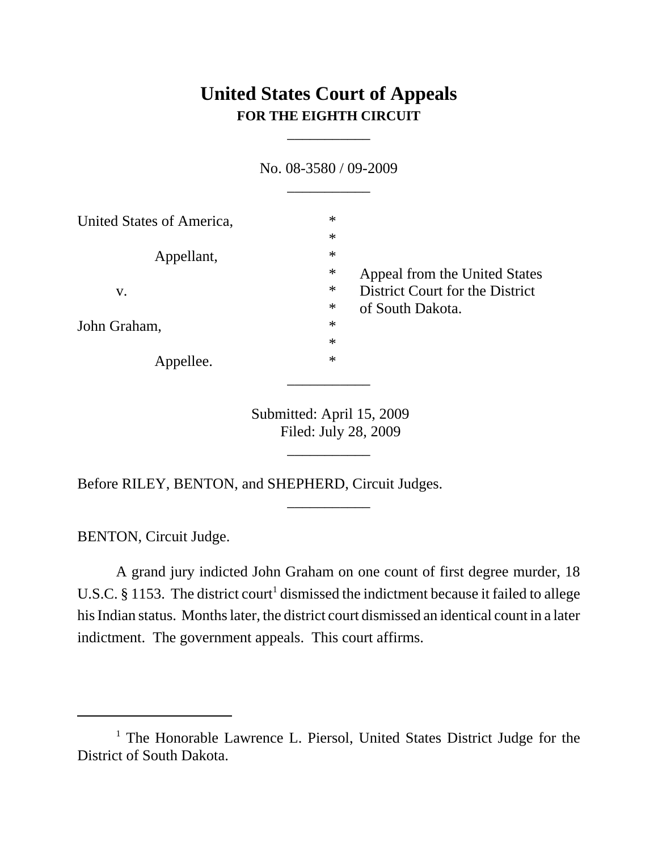## **United States Court of Appeals FOR THE EIGHTH CIRCUIT**

\_\_\_\_\_\_\_\_\_\_\_

N<sub>o.</sub> 08-2580 / 00-2009

|                           | <u>INU. UO-JJOU / UY-ZUUY</u> |                                 |
|---------------------------|-------------------------------|---------------------------------|
|                           |                               |                                 |
| United States of America, | $\ast$                        |                                 |
|                           | $\ast$                        |                                 |
| Appellant,                | $\ast$                        |                                 |
|                           | $\ast$                        | Appeal from the United States   |
| V.                        | $\ast$                        | District Court for the District |
|                           | $\ast$                        | of South Dakota.                |
| John Graham,              | $\ast$                        |                                 |
|                           | $\ast$                        |                                 |
| Appellee.                 | $\ast$                        |                                 |
|                           |                               |                                 |

Submitted: April 15, 2009 Filed: July 28, 2009

\_\_\_\_\_\_\_\_\_\_\_

\_\_\_\_\_\_\_\_\_\_\_

Before RILEY, BENTON, and SHEPHERD, Circuit Judges.

BENTON, Circuit Judge.

A grand jury indicted John Graham on one count of first degree murder, 18 U.S.C. § 1153. The district court<sup>1</sup> dismissed the indictment because it failed to allege his Indian status. Months later, the district court dismissed an identical count in a later indictment. The government appeals. This court affirms.

<sup>&</sup>lt;sup>1</sup> The Honorable Lawrence L. Piersol, United States District Judge for the District of South Dakota.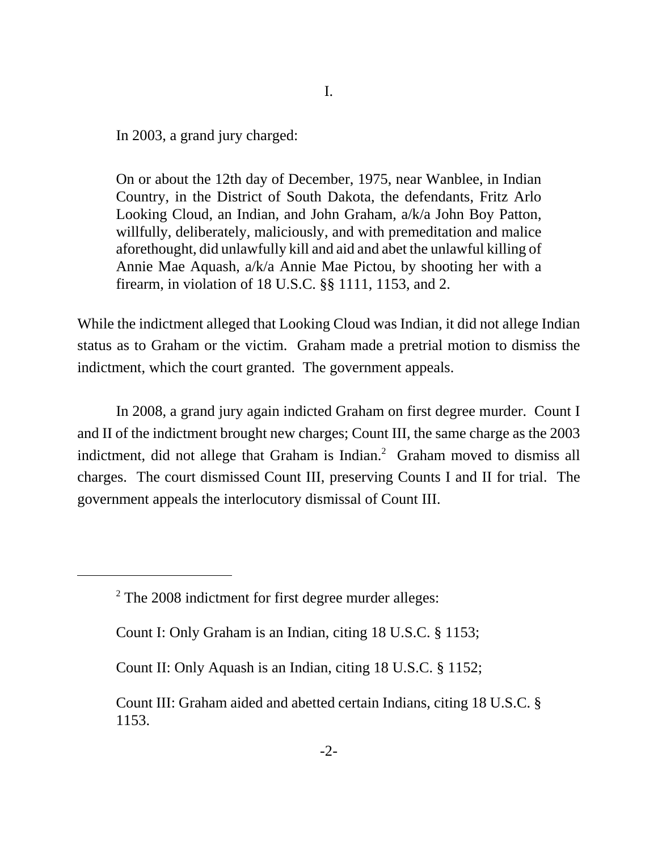In 2003, a grand jury charged:

On or about the 12th day of December, 1975, near Wanblee, in Indian Country, in the District of South Dakota, the defendants, Fritz Arlo Looking Cloud, an Indian, and John Graham, a/k/a John Boy Patton, willfully, deliberately, maliciously, and with premeditation and malice aforethought, did unlawfully kill and aid and abet the unlawful killing of Annie Mae Aquash, a/k/a Annie Mae Pictou, by shooting her with a firearm, in violation of 18 U.S.C. §§ 1111, 1153, and 2.

While the indictment alleged that Looking Cloud was Indian, it did not allege Indian status as to Graham or the victim. Graham made a pretrial motion to dismiss the indictment, which the court granted. The government appeals.

In 2008, a grand jury again indicted Graham on first degree murder. Count I and II of the indictment brought new charges; Count III, the same charge as the 2003 indictment, did not allege that Graham is Indian.<sup>2</sup> Graham moved to dismiss all charges. The court dismissed Count III, preserving Counts I and II for trial. The government appeals the interlocutory dismissal of Count III.

 $2$  The 2008 indictment for first degree murder alleges:

Count I: Only Graham is an Indian, citing 18 U.S.C. § 1153;

Count II: Only Aquash is an Indian, citing 18 U.S.C. § 1152;

Count III: Graham aided and abetted certain Indians, citing 18 U.S.C. § 1153.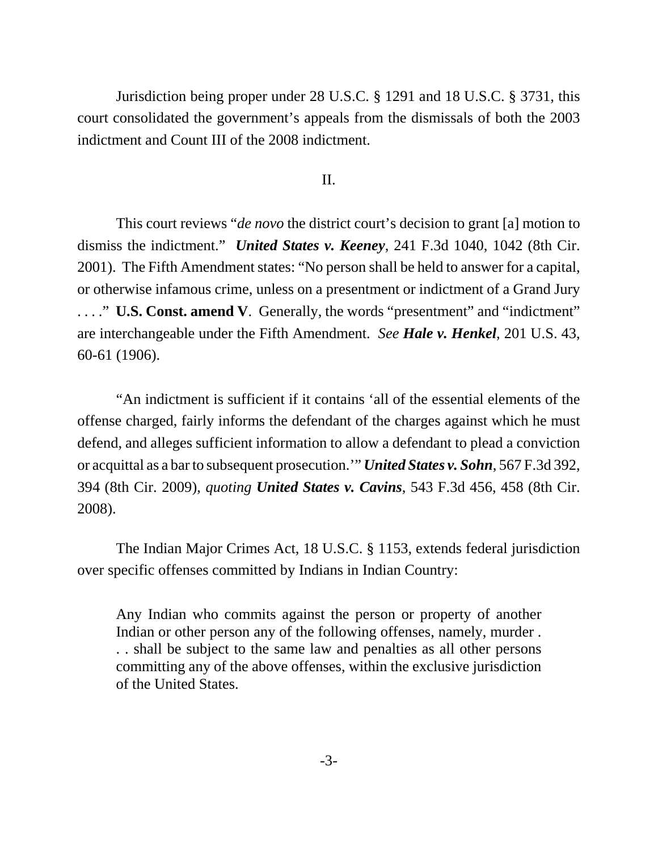Jurisdiction being proper under 28 U.S.C. § 1291 and 18 U.S.C. § 3731, this court consolidated the government's appeals from the dismissals of both the 2003 indictment and Count III of the 2008 indictment.

## II.

This court reviews "*de novo* the district court's decision to grant [a] motion to dismiss the indictment." *United States v. Keeney*, 241 F.3d 1040, 1042 (8th Cir. 2001). The Fifth Amendment states: "No person shall be held to answer for a capital, or otherwise infamous crime, unless on a presentment or indictment of a Grand Jury . . . ." **U.S. Const. amend V**. Generally, the words "presentment" and "indictment" are interchangeable under the Fifth Amendment. *See Hale v. Henkel*, 201 U.S. 43, 60-61 (1906).

"An indictment is sufficient if it contains 'all of the essential elements of the offense charged, fairly informs the defendant of the charges against which he must defend, and alleges sufficient information to allow a defendant to plead a conviction or acquittal as a bar to subsequent prosecution.'" *United States v. Sohn*, 567 F.3d 392, 394 (8th Cir. 2009), *quoting United States v. Cavins*, 543 F.3d 456, 458 (8th Cir. 2008).

The Indian Major Crimes Act, 18 U.S.C. § 1153, extends federal jurisdiction over specific offenses committed by Indians in Indian Country:

Any Indian who commits against the person or property of another Indian or other person any of the following offenses, namely, murder . . . shall be subject to the same law and penalties as all other persons committing any of the above offenses, within the exclusive jurisdiction of the United States.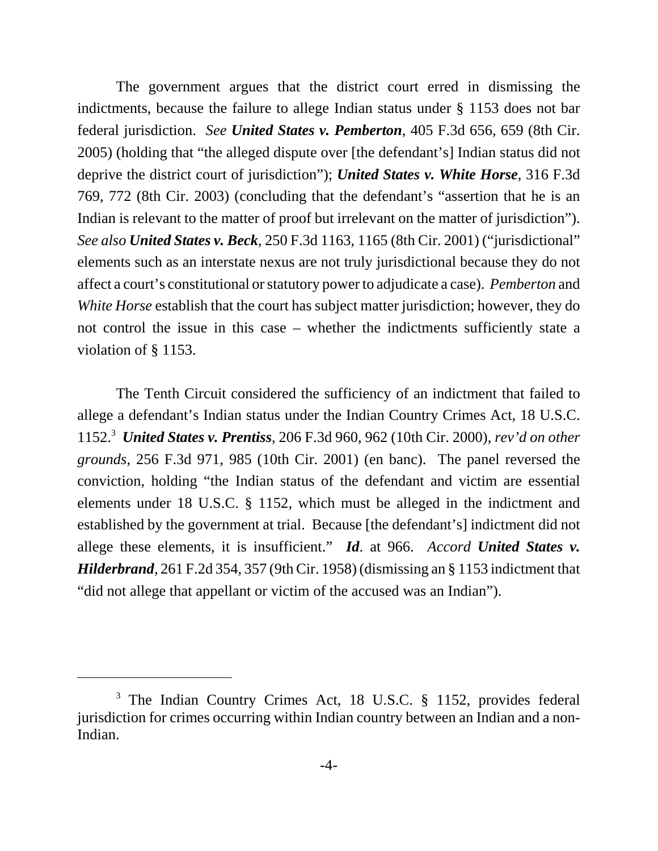The government argues that the district court erred in dismissing the indictments, because the failure to allege Indian status under § 1153 does not bar federal jurisdiction. *See United States v. Pemberton*, 405 F.3d 656, 659 (8th Cir. 2005) (holding that "the alleged dispute over [the defendant's] Indian status did not deprive the district court of jurisdiction"); *United States v. White Horse*, 316 F.3d 769, 772 (8th Cir. 2003) (concluding that the defendant's "assertion that he is an Indian is relevant to the matter of proof but irrelevant on the matter of jurisdiction"). *See also United States v. Beck*, 250 F.3d 1163, 1165 (8th Cir. 2001) ("jurisdictional" elements such as an interstate nexus are not truly jurisdictional because they do not affect a court's constitutional or statutory power to adjudicate a case). *Pemberton* and *White Horse* establish that the court has subject matter jurisdiction; however, they do not control the issue in this case – whether the indictments sufficiently state a violation of § 1153.

The Tenth Circuit considered the sufficiency of an indictment that failed to allege a defendant's Indian status under the Indian Country Crimes Act, 18 U.S.C. 1152.3 *United States v. Prentiss*, 206 F.3d 960, 962 (10th Cir. 2000), *rev'd on other grounds*, 256 F.3d 971, 985 (10th Cir. 2001) (en banc). The panel reversed the conviction, holding "the Indian status of the defendant and victim are essential elements under 18 U.S.C. § 1152, which must be alleged in the indictment and established by the government at trial. Because [the defendant's] indictment did not allege these elements, it is insufficient." *Id*. at 966. *Accord United States v. Hilderbrand*, 261 F.2d 354, 357 (9th Cir. 1958) (dismissing an § 1153 indictment that "did not allege that appellant or victim of the accused was an Indian").

<sup>&</sup>lt;sup>3</sup> The Indian Country Crimes Act, 18 U.S.C. § 1152, provides federal jurisdiction for crimes occurring within Indian country between an Indian and a non-Indian.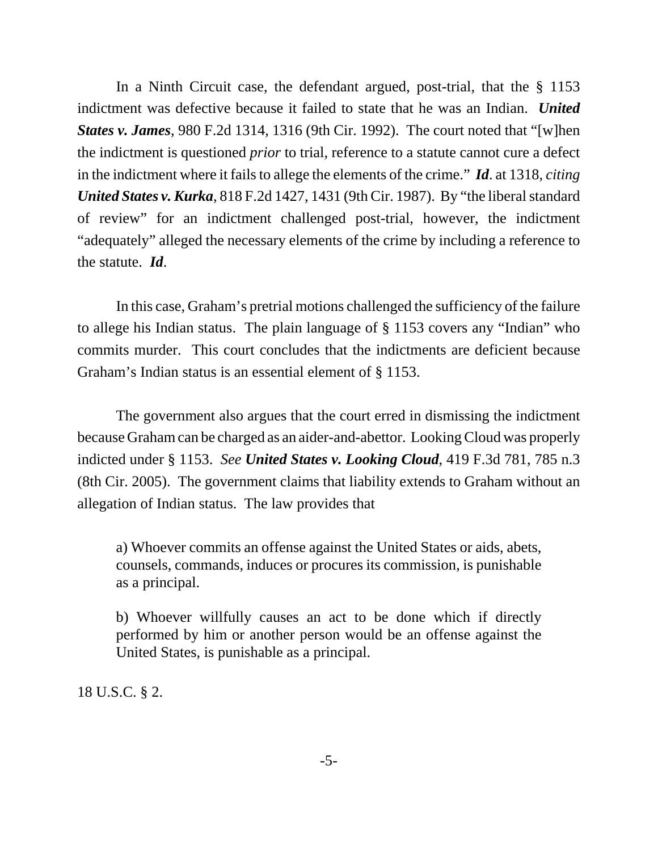In a Ninth Circuit case, the defendant argued, post-trial, that the § 1153 indictment was defective because it failed to state that he was an Indian. *United States v. James*, 980 F.2d 1314, 1316 (9th Cir. 1992). The court noted that "[w]hen the indictment is questioned *prior* to trial, reference to a statute cannot cure a defect in the indictment where it fails to allege the elements of the crime." *Id*. at 1318, *citing United States v. Kurka*, 818 F.2d 1427, 1431 (9th Cir. 1987). By "the liberal standard of review" for an indictment challenged post-trial, however, the indictment "adequately" alleged the necessary elements of the crime by including a reference to the statute. *Id*.

In this case, Graham's pretrial motions challenged the sufficiency of the failure to allege his Indian status. The plain language of § 1153 covers any "Indian" who commits murder. This court concludes that the indictments are deficient because Graham's Indian status is an essential element of § 1153.

The government also argues that the court erred in dismissing the indictment because Graham can be charged as an aider-and-abettor. Looking Cloud was properly indicted under § 1153. *See United States v. Looking Cloud*, 419 F.3d 781, 785 n.3 (8th Cir. 2005). The government claims that liability extends to Graham without an allegation of Indian status. The law provides that

a) Whoever commits an offense against the United States or aids, abets, counsels, commands, induces or procures its commission, is punishable as a principal.

b) Whoever willfully causes an act to be done which if directly performed by him or another person would be an offense against the United States, is punishable as a principal.

18 U.S.C. § 2.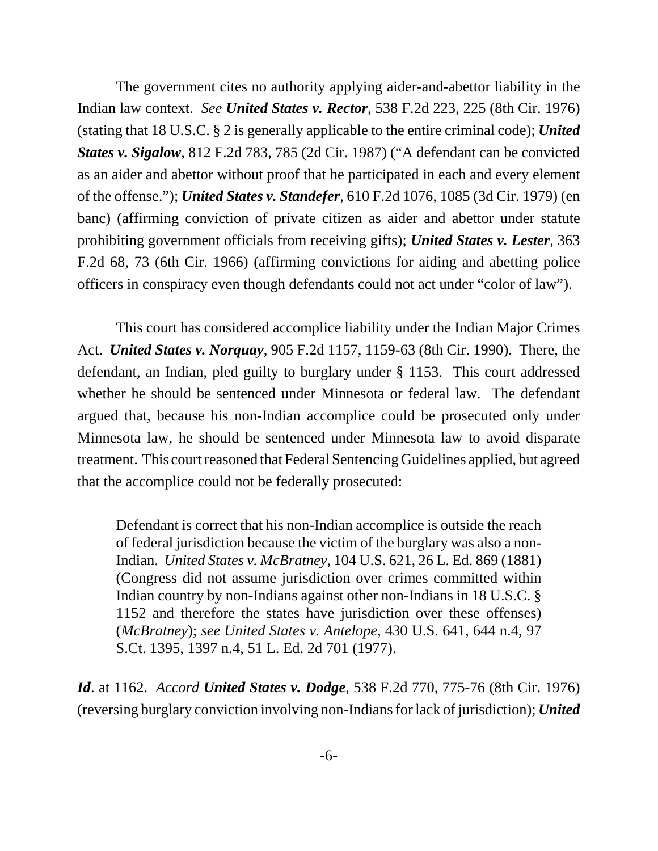The government cites no authority applying aider-and-abettor liability in the Indian law context. *See United States v. Rector*, 538 F.2d 223, 225 (8th Cir. 1976) (stating that 18 U.S.C. § 2 is generally applicable to the entire criminal code); *United States v. Sigalow*, 812 F.2d 783, 785 (2d Cir. 1987) ("A defendant can be convicted as an aider and abettor without proof that he participated in each and every element of the offense."); *United States v. Standefer*, 610 F.2d 1076, 1085 (3d Cir. 1979) (en banc) (affirming conviction of private citizen as aider and abettor under statute prohibiting government officials from receiving gifts); *United States v. Lester*, 363 F.2d 68, 73 (6th Cir. 1966) (affirming convictions for aiding and abetting police officers in conspiracy even though defendants could not act under "color of law").

This court has considered accomplice liability under the Indian Major Crimes Act. *United States v. Norquay*, 905 F.2d 1157, 1159-63 (8th Cir. 1990). There, the defendant, an Indian, pled guilty to burglary under § 1153. This court addressed whether he should be sentenced under Minnesota or federal law. The defendant argued that, because his non-Indian accomplice could be prosecuted only under Minnesota law, he should be sentenced under Minnesota law to avoid disparate treatment. This court reasoned that Federal Sentencing Guidelines applied, but agreed that the accomplice could not be federally prosecuted:

Defendant is correct that his non-Indian accomplice is outside the reach of federal jurisdiction because the victim of the burglary was also a non-Indian. *United States v. McBratney*, 104 U.S. 621, 26 L. Ed. 869 (1881) (Congress did not assume jurisdiction over crimes committed within Indian country by non-Indians against other non-Indians in 18 U.S.C. § 1152 and therefore the states have jurisdiction over these offenses) (*McBratney*); *see United States v. Antelope*, 430 U.S. 641, 644 n.4, 97 S.Ct. 1395, 1397 n.4, 51 L. Ed. 2d 701 (1977).

*Id*. at 1162. *Accord United States v. Dodge*, 538 F.2d 770, 775-76 (8th Cir. 1976) (reversing burglary conviction involving non-Indians for lack of jurisdiction); *United*